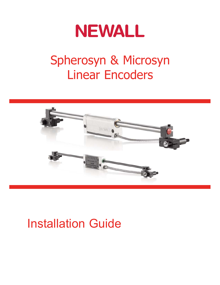

# Spherosyn & Microsyn Linear Encoders



# Installation Guide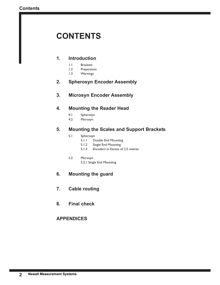## **CONTENTS**

## **1. Introduction**

- 1.1 Brackets
- 1.2 Preparation
- 1.3 Warnings

## **2. Spherosyn Encoder Assembly**

## **3. Microsyn Encoder Assembly**

## **4. Mounting the Reader Head**

- 4.1 Spherosyn<br>4.2 Microsyn
- Microsyn

## **5. Mounting the Scales and Support Brackets**

- 5.1 Spherosyn
	- 5.1.1 Double End Mounting
	- 5.1.2 Single End Mounting
	- 5.1.3 Encoders in Excess of 2.5 metres
- 5.2 Microsyn
	- 5.2.1 Single End Mounting

## **6. Mounting the guard**

- **7. Cable routing**
- **8. Final check**

## **APPENDICES**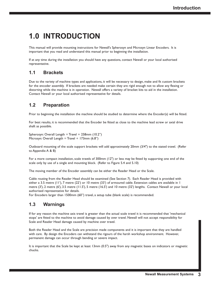## **1.0 INTRODUCTION**

This manual will provide mounting instructions for Newall's Spherosyn and Microsyn Linear Encoders. It is important that you read and understand this manual prior to beginning the installation.

If at any time during the installation you should have any questions, contact Newall or your local authorised representative.

## **1.1 Brackets**

Due to the variety of machine types and applications, it will be necessary to design, make and fit custom brackets for the encoder assembly. If brackets are needed make certain they are rigid enough not to allow any flexing or distorting while the machine is in operation. Newall offers a variety of bracket kits to aid in the installation. Contact Newall or your local authorised representative for details.

## **1.2 Preparation**

Prior to beginning the installation the machine should be studied to determine where the Encoder(s) will be fitted.

For best results, it is recommended that the Encoder be fitted as close to the machine lead screw or axial drive shaft as possible.

Spherosyn: Overall Length = Travel +  $258$ mm (10.2") Microsyn: Overall Length = Travel + 173mm  $(6.8")$ 

Outboard mounting of the scale support brackets will add approximately 20mm (3/4") to the stated travel. (Refer to Appendix A & B)

For a more compact installation, scale travels of 300mm (12") or less may be fitted by supporting one end of the scale only by use of a single end mounting block. (Refer to Figure 5.4 and 5.10)

The moving member of the Encoder assembly can be either the Reader Head or the Scale.

Cable routing from the Reader Head should be examined (See Section 7). Each Reader Head is provided with either a 3.5 metre (11'), 7 metre (22') or 10 metre (33') of armoured cable. Extension cables are available in 1 metre (3'), 2 metre (6'), 3.5 metre (11.5'), 5 metre (16.5') and 10 metre (32') lengths. Contact Newall or your local authorised representative for details.

For Encoders larger than 1500mm (60") travel, a setup tube (blank scale) is recommended.

## **1.3 Warnings**

If for any reason the machine axis travel is greater than the actual scale travel it is recommended that 'mechanical stops' are fitted to the machine to avoid damage caused by over travel. Newall will not accept responsibility for Scale and Reader Head damage caused by machine over travel.

Both the Reader Head and the Scale are precision made components and it is important that they are handled with care. By design the Encoders can withstand the rigours of the harsh workshop environment. However, permanent damage can occur through bending or severe impact.

It is important that the Scale be kept at least 13mm (0.5") away from any magnetic bases on indicators or magnetic chucks.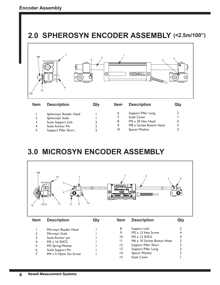## **2.0 SPHEROSYN ENCODER ASSEMBLY (<2.5m/100")**



| Spherosyn Reader Head |    | Support Pillar Long     |  |
|-----------------------|----|-------------------------|--|
| Spherosyn Scale       |    | Scale Cover             |  |
| Scale Support Link    |    | $M5 \times 20$ Hex Head |  |
| Scale Anchor Pin      | 9  | M8 x Socket Button Head |  |
| Support Pillar Short  | 10 | Spacer Washer           |  |

## **3.0 MICROSYN ENCODER ASSEMBLY**

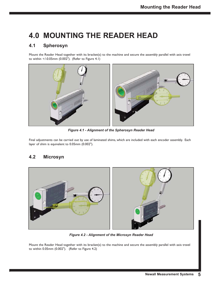## **4.0 MOUNTING THE READER HEAD**

## **4.1 Spherosyn**

Mount the Reader Head together with its bracket(s) to the machine and secure the assembly parallel with axis travel to within +/-0.05mm (0.002"). (Refer to Figure 4.1)



*Figure 4.1 - Alignment of the Spherosyn Reader Head*

Final adjustments can be carried out by use of laminated shims, which are included with each encoder assembly. Each layer of shim is equivalent to 0.05mm (0.002").

## **4.2 Microsyn**



*Figure 4.2 - Alignment of the Microsyn Reader Head*

Mount the Reader Head together with its bracket(s) to the machine and secure the assembly parallel with axis travel to within 0.05mm (0.002"). (Refer to Figure 4.2)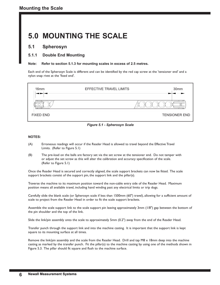## **5.0 MOUNTING THE SCALE**

### **5.1 Spherosyn**

### **5.1.1 Double End Mounting**

#### **Note: Refer to section 5.1.3 for mounting scales in excess of 2.5 metres.**

Each end of the Spherosyn Scale is different and can be identified by the red cap screw at the 'tensioner end' and a nylon snap rivet at the 'fixed end'.



#### **NOTES:**

- (A) Erroneous readings will occur if the Reader Head is allowed to travel beyond the Effective Travel Limits. (Refer to Figure 5.1)
- (B) The pre-load on the balls are factory set via the set screw at the tensioner end. Do not tamper with or adjust the set screw as this will alter the calibration and accuracy specification of the scale. (Refer to Figure 5.1)

Once the Reader Head is secured and correctly aligned, the scale support brackets can now be fitted. The scale support brackets consist of the support pin, the support link and the pillar(s).

Traverse the machine to its maximum position toward the non-cable entry side of the Reader Head. Maximum position means all available travel, including hand winding past any electrical limits or trip dogs.

Carefully slide the blank scale (or Spherosyn scale if less than 1500mm (60") travel), allowing for a sufficient amount of scale to project from the Reader Head in order to fit the scale support brackets.

Assemble the scale support link to the scale support pin leaving approximately 3mm (1/8") gap between the bottom of the pin shoulder and the top of the link.

Slide the link/pin assembly onto the scale to approximately 5mm (0.2") away from the end of the Reader Head.

Transfer punch through the support link and into the machine casting. It is important that the support link is kept square to its mounting surface at all times.

Remove the link/pin assembly and the scale from the Reader Head. Drill and tap M8 x 18mm deep into the machine casting as marked by the transfer punch. Fit the pillar(s) to the machine casting by using one of the methods shown in Figure 5.3. The pillar should fit square and flush to the machine surface. **Figure 5.1 - Spherosyn Scale**<br> **6 Figure 5.1 - Spherosyn Scale**<br> **6 Erroneous readings will occur if the Reader Head is allowed to tra<br>
Limits. (Refer to Figure 5.1)<br>
<b>6 Figure 1.1 Figure 5.1 Figure 5.1 Figure**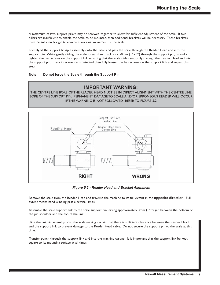A maximum of two support pillars may be screwed together to allow for sufficient adjustment of the scale. If two pillars are insufficient to enable the scale to be mounted, then additional brackets will be necessary. These brackets must be sufficiently rigid to eliminate any axial movement of the scale.

Loosely fit the support link/pin assembly onto the pillar and pass the scale through the Reader Head and into the support pin. While gently sliding the scale forward and back 25 - 50mm (1" - 2") through the support pin, carefully tighten the hex screws on the support link, ensuring that the scale slides smoothly through the Reader Head and into the support pin. If any interference is detected then fully loosen the hex screws on the support link and repeat this step.

#### **Note: Do not force the Scale through the Support Pin**

## **IMPORTANT WARNING:**

THE CENTRE LINE BORE OF THE READER HEAD MUST BE IN DIRECT ALIGNMENT WITH THE CENTRE LINE BORE OF THE SUPPORT PIN. PERMANENT DAMAGE TO SCALE AND/OR ERRONEOUS READER WILL OCCUR IF THIS WARNING IS NOT FOLLOWED. REFER TO FIGURE 5.2



*Figure 5.2 - Reader Head and Bracket Alignment*

Remove the scale from the Reader Head and traverse the machine to its full extent in the **opposite direction**. Full extent means hand winding past electrical limits.

Assemble the scale support link to the scale support pin leaving approximately 3mm (1/8") gap between the bottom of the pin shoulder and the top of the link.

Slide the link/pin assembly onto the scale making certain that there is sufficient clearance between the Reader Head and the support link to prevent damage to the Reader Head cable. Do not secure the support pin to the scale at this time.

Transfer punch through the support link and into the machine casting. It is important that the support link be kept square to its mounting surface at all times.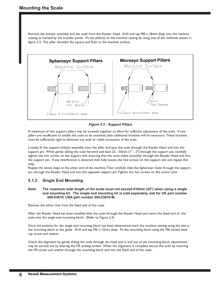Remove the link/pin assembly and the scale from the Reader Head. Drill and tap M8 x 18mm deep into the machine casting as marked by the transfer punch. Fit the pillar(s) to the machine casting by using one of the methods shown in figure 5.3. The pillar shoulder fits square and flush to the machine surface.



*Figure 5.3 - Support Pillars*

A maximum of two support pillars may be screwed together to allow for sufficient adjustment of the scale. If two pillars are insufficient to enable the scale to be mounted, then additional brackets will be necessary. These brackets must be sufficiently rigid to eliminate any axial or radial movement of the scale.

Loosely fit the support link/pin assembly onto the pillar and pass the scale through the Reader Head and into the support pin. While gently sliding the scale forward and back 25 - 50mm (1" - 2") through the support pin, carefully tighten the hex screws on the support link, ensuring that the scale slides smoothly through the Reader Head and into the support pin. If any interference is detected then fully loosen the hex screws on the support link and repeat this step.

Repeat the above steps at the other end of the machine. Then carefully slide the Spherosyn Scale through the support pin, through the Reader Head and into the opposite support pin. Tighten the hex screws on the anchor pins.

### **5.1.2 Single End Mounting**

#### **Note: The maximum total length of the scale must not exceed 610mm (24") when using a single end mounting kit. The single end mounting kit is sold separately, ask for UK part number 600-63610, USA part number 294-23010-M.**

Remove the white rivet from the fixed end of the scale.

After the Reader Head has been installed slide the scale through the Reader Head and insert the fixed end of the scale into the single end mounting block. (Refer to Figure 5.4)

Once the position for the single end mounting block has been determined mark the machine casting using the slot in the mounting block as the guide . Drill and tap M6 x 12mm deep. Fit the mounting block using the M6 socket head cap screw and washer.

Check the alignment by gently sliding the scale through the head and in and out of the mounting block, adjustments may be carried out by altering the M5 jacking screws. When the alignment is complete secure the scale by inserting the M5 screw and washer through the mounting block and into the fixed end of the scale.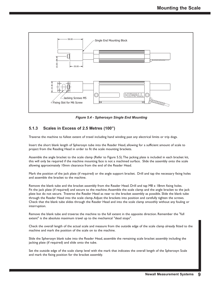

*Figure 5.4 - Spherosyn Single End Mounting* 

### **5.1.3 Scales in Excess of 2.5 Metres (100")**

Traverse the machine to fullest extent of travel including hand winding past any electrical limits or trip dogs.

Insert the short blank length of Spherosyn tube into the Reader Head, allowing for a sufficient amount of scale to project from the Reading Head in order to fit the scale mounting brackets.

Assemble the angle bracket to the scale clamp (Refer to Figure 5.5). The jacking plate is included in each bracket kit, this will only be required if the machine mounting face is not a machined surface. Slide the assembly onto the scale allowing approximately 10mm clearance from the end of the Reader Head.

Mark the position of the jack plate (if required) or the angle support bracket. Drill and tap the necessary fixing holes and assemble the bracket to the machine.

Remove the blank tube and the bracket assembly from the Reader Head. Drill and tap M8 x 18mm fixing holes. Fit the jack plate (if required) and secure to the machine. Assemble the scale clamp and the angle bracket to the jack plate but do not secure. Traverse the Reader Head as near to the bracket assembly as possible. Slide the blank tube through the Reader Head into the scale clamp. Adjust the brackets into position and carefully tighten the screws. Check that the blank tube slides through the Reader Head and into the scale clamp smoothly without any fouling or interruption.

Remove the blank tube and traverse the machine to the full extent in the opposite direction. Remember the "full extent" is the absolute maximum travel up to the mechanical "dead stops".

Check the overall length of the actual scale and measure from the outside edge of the scale clamp already fitted to the machine and mark the position of the scale on to the machine.

Slide the Spherosyn blank tube into the Reader Head, assemble the remaining scale bracket assembly including the jacking plate (if required) and slide onto the tube.

Set the outside edge of the scale clamp level with the mark that indicates the overall length of the Spherosyn Scale and mark the fixing position for the bracket assembly.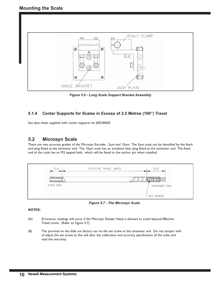

*Figure 5.5 - Long Scale Support Bracket Assembly*

### **5.1.4 Center Supports for Scales in Excess of 2.5 Metres (100") Travel**

See data sheet supplied with center supports kit 600-84605

### **5.2 Microsyn Scale**

There are two accuracy grades of the Microsyn Encoder , 5μm and 10μm. The 5μm scale can be identified by the black end plug fitted at the tensioner end. The 10μm scale has an anodised clear plug fitted at the tensioner end. The fixed end of the scale has an M3 tapped hole, which will be fitted to the anchor pin when installed.

| 15.0                  | 23.0<br>EFFECTIVE TRAVEL LIMITS |
|-----------------------|---------------------------------|
| 77777777777<br>RUUNHU |                                 |
| FIXED END             | TENSIONER END                   |
|                       | LSET SCREW                      |

*Figure 5.7 - The Microsyn Scale*

#### **NOTES:**

- (A) Erroneous readings will occur if the Microsyn Reader Head is allowed to travel beyond Effective Travel Limits. (Refer to Figure 5.7)
- (B) The pre-load on the balls are factory set via the set screw at the tensioner end. Do not tamper with of adjust the set screw as this will alter the calibration and accuracy specification of the scale and void the warranty.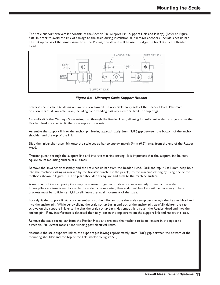The scale support brackets kit consists of the Anchor Pin, Support Pin , Support Link, and Pillar(s). (Refer to Figure 5.8) In order to avoid the risk of damage to the scale during installation all Microsyn encoders include a set up bar. The set up bar is of the same diameter as the Microsyn Scale and will be used to align the brackets to the Reader Head.



*Figure 5.8 - Microsyn Scale Support Bracket*

Traverse the machine to its maximum position toward the non-cable entry side of the Reader Head. Maximum position means all available travel, including hand winding past any electrical limits or trip dogs.

Carefully slide the Microsyn Scale set-up bar through the Reader Head, allowing for sufficient scale to project from the Reader Head in order to fit the scale support brackets.

Assemble the support link to the anchor pin leaving approximately 3mm (1/8") gap between the bottom of the anchor shoulder and the top of the link.

Slide the link/anchor assembly onto the scale set-up bar to approximately 5mm (0.2") away from the end of the Reader Head.

Transfer punch through the support link and into the machine casting. It is important that the support link be kept square to its mounting surface at all times.

Remove the link/anchor assembly and the scale set-up bar from the Reader Head. Drill and tap M6 x 12mm deep hole into the machine casting as marked by the transfer punch. Fit the pillar(s) to the machine casting by using one of the methods shown in Figure 5.3. The pillar shoulder fits square and flush to the machine surface.

A maximum of two support pillars may be screwed together to allow for sufficient adjustment of the scale. If two pillars are insufficient to enable the scale to be mounted, then additional brackets will be necessary. These brackets must be sufficiently rigid to eliminate any axial movement of the scale.

Loosely fit the support link/anchor assembly onto the pillar and pass the scale set-up bar through the Reader Head and into the anchor pin. While gently sliding the scale set-up bar in and out of the anchor pin, carefully tighten the cap screws on the support link, ensuring that the scale set-up bar slides smoothly through the Reader Head and into the anchor pin. If any interference is detected then fully loosen the cap screws on the support link and repeat this step.

Remove the scale set-up bar from the Reader Head and traverse the machine to its full extent in the opposite direction. Full extent means hand winding past electrical limits.

Assemble the scale support link to the support pin leaving approximately 3mm (1/8") gap between the bottom of the mounting shoulder and the top of the link. (Refer to Figure 5.8)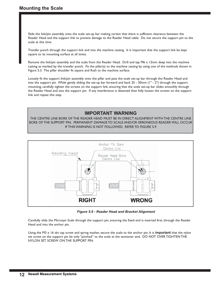Slide the link/pin assembly onto the scale set-up bar making certain that there is sufficient clearance between the Reader Head and the support link to prevent damage to the Reader Head cable. Do not secure the support pin to the scale at this time.

Transfer punch through the support link and into the machine casting. It is important that the support link be kept square to its mounting surface at all times.

Remove the link/pin assembly and the scale from the Reader Head. Drill and tap M6 x 12mm deep into the machine casting as marked by the transfer punch. Fit the pillar(s) to the machine casting by using one of the methods shown in Figure 5.3. The pillar shoulder fit square and flush to the machine surface.

Loosely fit the support link/pin assembly onto the pillar and pass the scale set-up bar through the Reader Head and into the support pin. While gently sliding the set-up bar forward and back 25 - 50mm (1" - 2") through the support mounting, carefully tighten the screws on the support link, ensuring that the scale set-up bar slides smoothly through the Reader Head and into the support pin. If any interference is detected then fully loosen the screws on the support link and repeat this step.

### **IMPORTANT WARNING**

THE CENTRE LINE BORE OF THE READER HEAD MUST BE IN DIRECT ALIGNMENT WITH THE CENTRE LINE BORE OF THE SUPPORT PIN. PERMANENT DAMAGE TO SCALE AND/OR ERRONEOUS READER WILL OCCUR IF THIS WARNING IS NOT FOLLOWED. REFER TO FIGURE 5.9



*Figure 5.9 - Reader Head and Bracket Alignment*

Carefully slide the Microsyn Scale through the support pin, ensuring the fixed end is inserted first, through the Reader Head and into the anchor pin.

Using the M3 x 16 skt cap screw and spring washer, secure the scale to the anchor pin. It is **important** that the nylon set screw on the support pin be only "pinched" to the scale at the tensioner end. DO NOT OVER TIGHTEN THE NYLON SET SCREW ON THE SUPPORT PIN.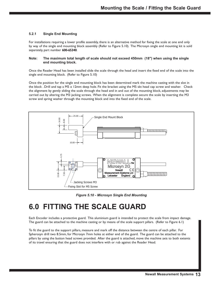#### **5.2.1 Single End Mounting**

For installations requiring a lower profile assembly, there is an alternative method for fixing the scale at one end only by way of the single end mounting block assembly (Refer to Figure 5.10). The Microsyn single end mounting kit is sold separately, part number 600-65340.

#### **Note: The maximum total length of scale should not exceed 450mm (18") when using the single end mounting block.**

Once the Reader Head has been installed slide the scale through the head and insert the fixed end of the scale into the single end mounting block. (Refer to Figure 5.10)

Once the position for the single end mounting block has been determined mark the machine casting with the slot in the block . Drill and tap a M5 x 12mm deep hole. Fit the bracket using the M5 skt head cap screw and washer. Check the alignment by gently sliding the scale through the head and in and out of the mounting block, adjustments may be carried out by altering the M3 jacking screws. When the alignment is complete secure the scale by inserting the M3 screw and spring washer through the mounting block and into the fixed end of the scale.



*Figure 5.10 - Microsyn Single End Mounting*

## **6.0 FITTING THE SCALE GUARD**

Each Encoder includes a protective guard. This aluminium guard is intended to protect the scale from impact damage. The guard can be attached to the machine casting or by means of the scale support pillars. (Refer to Figure 6.1)

To fit the guard to the support pillars, measure and mark off the distance between the centre of each pillar. For Spherosyn drill two 8.5mm, for Microsyn 7mm holes at either end of the guard. The guard can be attached to the pillars by using the button head screws provided. After the guard is attached, move the machine axis to both extents of its travel ensuring that the guard does not interfere with or rub against the Reader Head.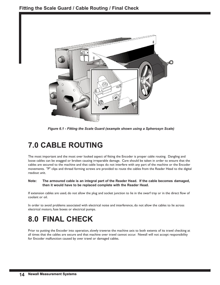

*Figure 6.1 - Fitting the Scale Guard (example shown using a Spherosyn Scale)*

## **7.0 CABLE ROUTING**

The most important and the most over looked aspect of fitting the Encoder is proper cable routing. Dangling and loose cables can be snagged or broken causing irreparable damage. Care should be taken in order to ensure that the cables are secured to the machine and that cable loops do not interfere with any part of the machine or the Encoder movements. "P" clips and thread forming screws are provided to route the cables from the Reader Head to the digital readout unit.

#### **Note: The armoured cable is an integral part of the Reader Head. If the cable becomes damaged, then it would have to be replaced complete with the Reader Head.**

If extension cables are used, do not allow the plug and socket junction to lie in the swarf tray or in the direct flow of coolant or oil.

In order to avoid problems associated with electrical noise and interference, do not allow the cables to lie across electrical motors, fuse boxes or electrical pumps.

## **8.0 FINAL CHECK**

Prior to putting the Encoder into operation, slowly traverse the machine axis to both extents of its travel checking at all times that the cables are secure and that machine over travel cannot occur. Newall will not accept responsibility for Encoder malfunction caused by over travel or damaged cables.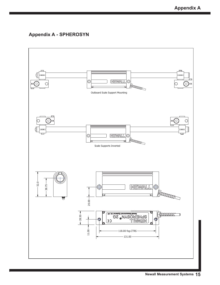## **Appendix A - SPHEROSYN**

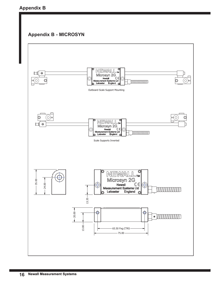## **Appendix B**

## **Appendix B - MICROSYN**